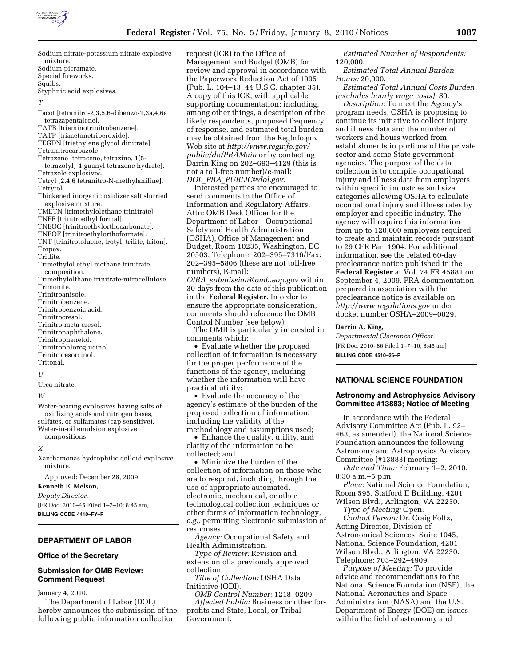

| Sodium nitrate-potassium nitrate explosive |
|--------------------------------------------|
| mixture.                                   |
| Sodium picramate.                          |

Special fireworks.

Squibs. Styphnic acid explosives.

#### *T*

- Tacot [tetranitro-2,3,5,6-dibenzo-1,3a,4,6a tetrazapentalene].
- TATB [triaminotrinitrobenzene].
- TATP [triacetonetriperoxide].
- TEGDN [triethylene glycol dinitrate].
- Tetranitrocarbazole.
- Tetrazene [tetracene, tetrazine, 1(5-
- tetrazolyl)-4-guanyl tetrazene hydrate].
- Tetrazole explosives. Tetryl [2,4,6 tetranitro-N-methylaniline].
- Tetrytol. Thickened inorganic oxidizer salt slurried
- explosive mixture.
- TMETN [trimethylolethane trinitrate].
- TNEF [trinitroethyl formal].
- TNEOC [trinitroethylorthocarbonate].
- TNEOF [trinitroethylorthoformate].
- TNT [trinitrotoluene, trotyl, trilite, triton].
- Torpex.

Tridite.

- Trimethylol ethyl methane trinitrate composition.
- Trimethylolthane trinitrate-nitrocellulose. Trimonite. Trinitroanisole.
- Trinitrobenzene.
- Trinitrobenzoic acid.
- Trinitrocresol.
- Trinitro-meta-cresol.
- Trinitronaphthalene.
- Trinitrophenetol.
- Trinitrophloroglucinol.
- Trinitroresorcinol.
- Tritonal.

### *U*

Urea nitrate.

#### *W*

Water-bearing explosives having salts of oxidizing acids and nitrogen bases, sulfates, or sulfamates (cap sensitive). Water-in-oil emulsion explosive compositions.

#### *X*

Xanthamonas hydrophilic colloid explosive mixture.

Approved: December 28, 2009.

#### **Kenneth E. Melson,**

*Deputy Director.* 

[FR Doc. 2010–45 Filed 1–7–10; 8:45 am] **BILLING CODE 4410–FY–P** 

## **DEPARTMENT OF LABOR**

#### **Office of the Secretary**

## **Submission for OMB Review: Comment Request**

January 4, 2010.

The Department of Labor (DOL) hereby announces the submission of the following public information collection

request (ICR) to the Office of Management and Budget (OMB) for review and approval in accordance with the Paperwork Reduction Act of 1995 (Pub. L. 104–13, 44 U.S.C. chapter 35). A copy of this ICR, with applicable supporting documentation; including, among other things, a description of the likely respondents, proposed frequency of response, and estimated total burden may be obtained from the RegInfo.gov Web site at *http://www.reginfo.gov/ public/do/PRAMain* or by contacting Darrin King on 202–693–4129 (this is not a toll-free number)/e-mail: *DOL*\_*PRA*\_*PUBLIC@dol.gov.* 

Interested parties are encouraged to send comments to the Office of Information and Regulatory Affairs, Attn: OMB Desk Officer for the Department of Labor—Occupational Safety and Health Administration (OSHA), Office of Management and Budget, Room 10235, Washington, DC 20503, Telephone: 202–395–7316/Fax: 202–395–5806 (these are not toll-free numbers), E-mail:

*OIRA*\_*submission@omb.eop.gov* within 30 days from the date of this publication in the **Federal Register.** In order to ensure the appropriate consideration, comments should reference the OMB Control Number (see below).

The OMB is particularly interested in comments which:

• Evaluate whether the proposed collection of information is necessary for the proper performance of the functions of the agency, including whether the information will have practical utility;

• Evaluate the accuracy of the agency's estimate of the burden of the proposed collection of information, including the validity of the methodology and assumptions used;

• Enhance the quality, utility, and clarity of the information to be collected; and

• Minimize the burden of the collection of information on those who are to respond, including through the use of appropriate automated, electronic, mechanical, or other technological collection techniques or other forms of information technology, *e.g.,* permitting electronic submission of responses.

*Agency:* Occupational Safety and Health Administration.

*Type of Review:* Revision and extension of a previously approved collection.

*Title of Collection:* OSHA Data Initiative (ODI).

*OMB Control Number:* 1218–0209. *Affected Public:* Business or other forprofits and State, Local, or Tribal Government.

*Estimated Number of Respondents:*  120,000.

*Estimated Total Annual Burden Hours:* 20,000.

*Estimated Total Annual Costs Burden (excludes hourly wage costs):* \$0.

*Description:* To meet the Agency's program needs, OSHA is proposing to continue its initiative to collect injury and illness data and the number of workers and hours worked from establishments in portions of the private sector and some State government agencies. The purpose of the data collection is to compile occupational injury and illness data from employers within specific industries and size categories allowing OSHA to calculate occupational injury and illness rates by employer and specific industry. The agency will require this information from up to 120,000 employers required to create and maintain records pursuant to 29 CFR Part 1904. For additional information, see the related 60-day preclearance notice published in the **Federal Register** at Vol. 74 FR 45881 on September 4, 2009. PRA documentation prepared in association with the preclearance notice is available on *http://www.regulations.gov* under docket number OSHA–2009–0029.

#### **Darrin A. King,**

*Departmental Clearance Officer.*  [FR Doc. 2010–86 Filed 1–7–10; 8:45 am] **BILLING CODE 4510–26–P** 

## **NATIONAL SCIENCE FOUNDATION**

### **Astronomy and Astrophysics Advisory Committee #13883; Notice of Meeting**

In accordance with the Federal Advisory Committee Act (Pub. L. 92– 463, as amended), the National Science Foundation announces the following Astronomy and Astrophysics Advisory Committee (#13883) meeting:

*Date and Time:* February 1–2, 2010, 8:30 a.m.–5 p.m.

*Place:* National Science Foundation, Room 595, Stafford II Building, 4201 Wilson Blvd., Arlington, VA 22230.

*Type of Meeting:* Open.

*Contact Person:* Dr. Craig Foltz, Acting Director, Division of Astronomical Sciences, Suite 1045, National Science Foundation, 4201 Wilson Blvd., Arlington, VA 22230. Telephone: 703–292–4909.

*Purpose of Meeting:* To provide advice and recommendations to the National Science Foundation (NSF), the National Aeronautics and Space Administration (NASA) and the U.S. Department of Energy (DOE) on issues within the field of astronomy and